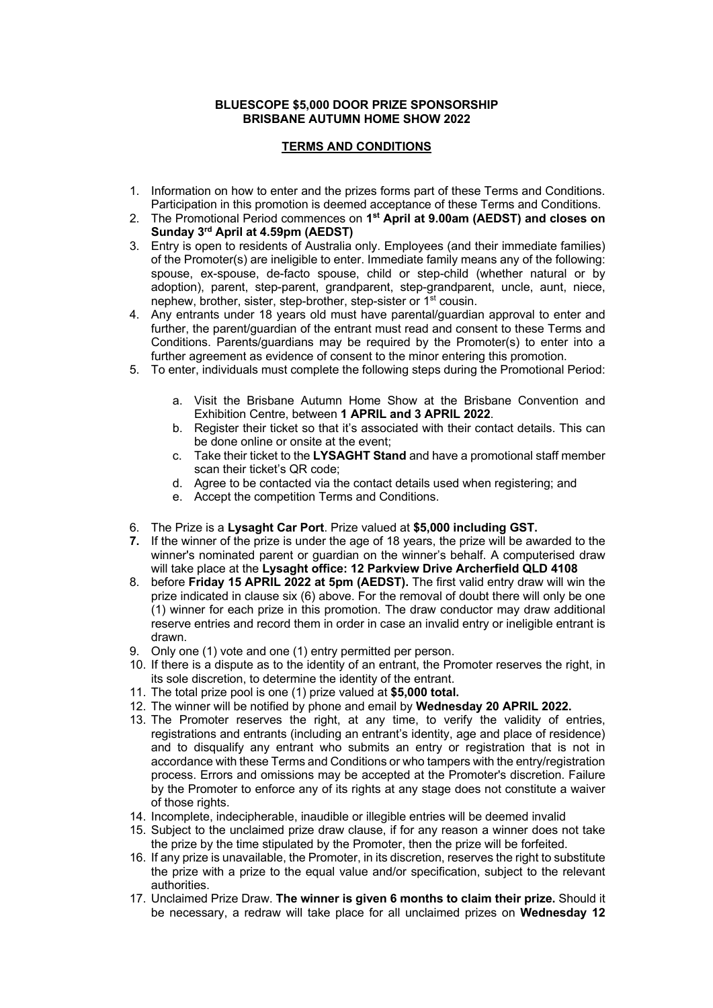## **BLUESCOPE \$5,000 DOOR PRIZE SPONSORSHIP BRISBANE AUTUMN HOME SHOW 2022**

## **TERMS AND CONDITIONS**

- 1. Information on how to enter and the prizes forms part of these Terms and Conditions. Participation in this promotion is deemed acceptance of these Terms and Conditions.
- 2. The Promotional Period commences on **1st April at 9.00am (AEDST) and closes on Sunday 3rd April at 4.59pm (AEDST)**
- 3. Entry is open to residents of Australia only. Employees (and their immediate families) of the Promoter(s) are ineligible to enter. Immediate family means any of the following: spouse, ex-spouse, de-facto spouse, child or step-child (whether natural or by adoption), parent, step-parent, grandparent, step-grandparent, uncle, aunt, niece, nephew, brother, sister, step-brother, step-sister or 1st cousin.
- 4. Any entrants under 18 years old must have parental/guardian approval to enter and further, the parent/guardian of the entrant must read and consent to these Terms and Conditions. Parents/guardians may be required by the Promoter(s) to enter into a further agreement as evidence of consent to the minor entering this promotion.
- 5. To enter, individuals must complete the following steps during the Promotional Period:
	- a. Visit the Brisbane Autumn Home Show at the Brisbane Convention and Exhibition Centre, between **1 APRIL and 3 APRIL 2022**.
	- b. Register their ticket so that it's associated with their contact details. This can be done online or onsite at the event;
	- c. Take their ticket to the **LYSAGHT Stand** and have a promotional staff member scan their ticket's QR code;
	- d. Agree to be contacted via the contact details used when registering; and
	- e. Accept the competition Terms and Conditions.
- 6. The Prize is a **Lysaght Car Port**. Prize valued at **\$5,000 including GST.**
- **7.** If the winner of the prize is under the age of 18 years, the prize will be awarded to the winner's nominated parent or guardian on the winner's behalf. A computerised draw will take place at the **Lysaght office: 12 Parkview Drive Archerfield QLD 4108**
- 8. before **Friday 15 APRIL 2022 at 5pm (AEDST).** The first valid entry draw will win the prize indicated in clause six (6) above. For the removal of doubt there will only be one (1) winner for each prize in this promotion. The draw conductor may draw additional reserve entries and record them in order in case an invalid entry or ineligible entrant is drawn.
- 9. Only one (1) vote and one (1) entry permitted per person.
- 10. If there is a dispute as to the identity of an entrant, the Promoter reserves the right, in its sole discretion, to determine the identity of the entrant.
- 11. The total prize pool is one (1) prize valued at **\$5,000 total.**
- 12. The winner will be notified by phone and email by **Wednesday 20 APRIL 2022.**
- 13. The Promoter reserves the right, at any time, to verify the validity of entries, registrations and entrants (including an entrant's identity, age and place of residence) and to disqualify any entrant who submits an entry or registration that is not in accordance with these Terms and Conditions or who tampers with the entry/registration process. Errors and omissions may be accepted at the Promoter's discretion. Failure by the Promoter to enforce any of its rights at any stage does not constitute a waiver of those rights.
- 14. Incomplete, indecipherable, inaudible or illegible entries will be deemed invalid
- 15. Subject to the unclaimed prize draw clause, if for any reason a winner does not take the prize by the time stipulated by the Promoter, then the prize will be forfeited.
- 16. If any prize is unavailable, the Promoter, in its discretion, reserves the right to substitute the prize with a prize to the equal value and/or specification, subject to the relevant authorities.
- 17. Unclaimed Prize Draw. **The winner is given 6 months to claim their prize.** Should it be necessary, a redraw will take place for all unclaimed prizes on **Wednesday 12**